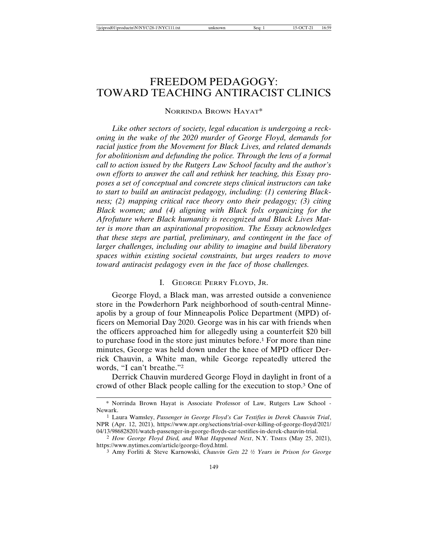# FREEDOM PEDAGOGY: TOWARD TEACHING ANTIRACIST CLINICS

## NORRINDA BROWN HAYAT\*

*Like other sectors of society, legal education is undergoing a reckoning in the wake of the 2020 murder of George Floyd, demands for racial justice from the Movement for Black Lives, and related demands for abolitionism and defunding the police. Through the lens of a formal call to action issued by the Rutgers Law School faculty and the author's own efforts to answer the call and rethink her teaching, this Essay proposes a set of conceptual and concrete steps clinical instructors can take to start to build an antiracist pedagogy, including: (1) centering Blackness; (2) mapping critical race theory onto their pedagogy; (3) citing Black women; and (4) aligning with Black folx organizing for the Afrofuture where Black humanity is recognized and Black Lives Matter is more than an aspirational proposition. The Essay acknowledges that these steps are partial, preliminary, and contingent in the face of larger challenges, including our ability to imagine and build liberatory spaces within existing societal constraints, but urges readers to move toward antiracist pedagogy even in the face of those challenges.*

## I. GEORGE PERRY FLOYD, JR.

George Floyd, a Black man, was arrested outside a convenience store in the Powderhorn Park neighborhood of south-central Minneapolis by a group of four Minneapolis Police Department (MPD) officers on Memorial Day 2020. George was in his car with friends when the officers approached him for allegedly using a counterfeit \$20 bill to purchase food in the store just minutes before.1 For more than nine minutes, George was held down under the knee of MPD officer Derrick Chauvin, a White man, while George repeatedly uttered the words, "I can't breathe."2

Derrick Chauvin murdered George Floyd in daylight in front of a crowd of other Black people calling for the execution to stop.3 One of

<sup>\*</sup> Norrinda Brown Hayat is Associate Professor of Law, Rutgers Law School - Newark.

<sup>1</sup> Laura Wamsley, *Passenger in George Floyd's Car Testifies in Derek Chauvin Trial*, NPR (Apr. 12, 2021), https://www.npr.org/sections/trial-over-killing-of-george-floyd/2021/ 04/13/986828201/watch-passenger-in-george-floyds-car-testifies-in-derek-chauvin-trial.

<sup>2</sup> *How George Floyd Died, and What Happened Next*, N.Y. TIMES (May 25, 2021), https://www.nytimes.com/article/george-floyd.html.

<sup>&</sup>lt;sup>3</sup> Amy Forliti & Steve Karnowski, *Chauvin Gets 22<sup>1</sup>/2 Years in Prison for George*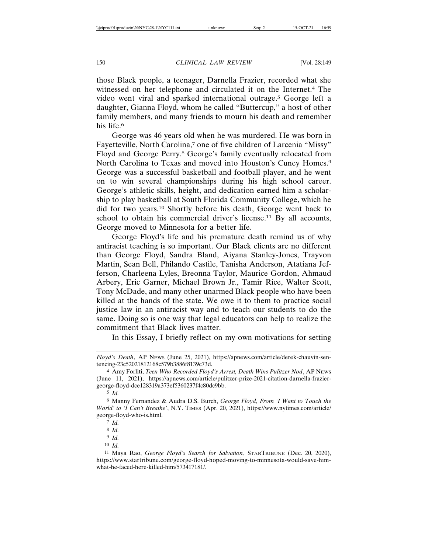those Black people, a teenager, Darnella Frazier, recorded what she witnessed on her telephone and circulated it on the Internet.4 The video went viral and sparked international outrage.5 George left a daughter, Gianna Floyd, whom he called "Buttercup," a host of other family members, and many friends to mourn his death and remember his life.<sup>6</sup>

George was 46 years old when he was murdered. He was born in Fayetteville, North Carolina,<sup>7</sup> one of five children of Larcenia "Missy" Floyd and George Perry.8 George's family eventually relocated from North Carolina to Texas and moved into Houston's Cuney Homes.9 George was a successful basketball and football player, and he went on to win several championships during his high school career. George's athletic skills, height, and dedication earned him a scholarship to play basketball at South Florida Community College, which he did for two years.10 Shortly before his death, George went back to school to obtain his commercial driver's license.<sup>11</sup> By all accounts, George moved to Minnesota for a better life.

George Floyd's life and his premature death remind us of why antiracist teaching is so important. Our Black clients are no different than George Floyd, Sandra Bland, Aiyana Stanley-Jones, Trayvon Martin, Sean Bell, Philando Castile, Tanisha Anderson, Atatiana Jefferson, Charleena Lyles, Breonna Taylor, Maurice Gordon, Ahmaud Arbery, Eric Garner, Michael Brown Jr., Tamir Rice, Walter Scott, Tony McDade, and many other unarmed Black people who have been killed at the hands of the state. We owe it to them to practice social justice law in an antiracist way and to teach our students to do the same. Doing so is one way that legal educators can help to realize the commitment that Black lives matter.

In this Essay, I briefly reflect on my own motivations for setting

*Floyd's Death*, AP NEWS (June 25, 2021), https://apnews.com/article/derek-chauvin-sentencing-23c52021812168c579b3886f8139c73d.

<sup>4</sup> Amy Forliti, *Teen Who Recorded Floyd's Arrest, Death Wins Pulitzer Nod*, AP NEWS (June 11, 2021), https://apnews.com/article/pulitzer-prize-2021-citation-darnella-fraziergeorge-floyd-dce128319a373ef5360237f4c80dc9bb.

<sup>5</sup> *Id.*

<sup>6</sup> Manny Fernandez & Audra D.S. Burch, *George Floyd, From 'I Want to Touch the World' to 'I Can't Breathe'*, N.Y. TIMES (Apr. 20, 2021), https://www.nytimes.com/article/ george-floyd-who-is.html.

<sup>7</sup> *Id.*

<sup>8</sup> *Id.*

<sup>9</sup> *Id.*

<sup>10</sup> *Id.*

<sup>11</sup> Maya Rao, *George Floyd's Search for Salvation*, STARTRIBUNE (Dec. 20, 2020), https://www.startribune.com/george-floyd-hoped-moving-to-minnesota-would-save-himwhat-he-faced-here-killed-him/573417181/.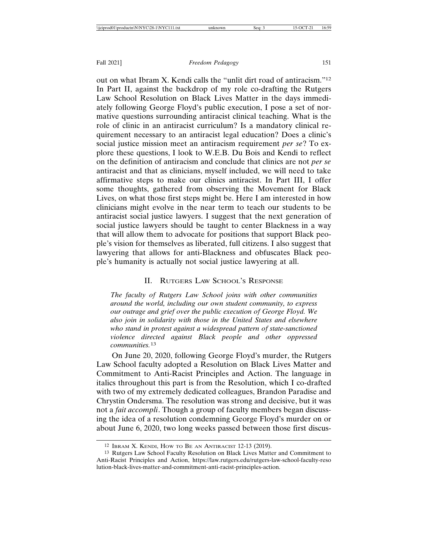out on what Ibram X. Kendi calls the "unlit dirt road of antiracism."12 In Part II, against the backdrop of my role co-drafting the Rutgers Law School Resolution on Black Lives Matter in the days immediately following George Floyd's public execution, I pose a set of normative questions surrounding antiracist clinical teaching. What is the role of clinic in an antiracist curriculum? Is a mandatory clinical requirement necessary to an antiracist legal education? Does a clinic's social justice mission meet an antiracism requirement *per se*? To explore these questions, I look to W.E.B. Du Bois and Kendi to reflect on the definition of antiracism and conclude that clinics are not *per se* antiracist and that as clinicians, myself included, we will need to take affirmative steps to make our clinics antiracist. In Part III, I offer some thoughts, gathered from observing the Movement for Black Lives, on what those first steps might be. Here I am interested in how clinicians might evolve in the near term to teach our students to be antiracist social justice lawyers. I suggest that the next generation of social justice lawyers should be taught to center Blackness in a way that will allow them to advocate for positions that support Black people's vision for themselves as liberated, full citizens. I also suggest that lawyering that allows for anti-Blackness and obfuscates Black people's humanity is actually not social justice lawyering at all.

## II. RUTGERS LAW SCHOOL'S RESPONSE

*The faculty of Rutgers Law School joins with other communities around the world, including our own student community, to express our outrage and grief over the public execution of George Floyd. We also join in solidarity with those in the United States and elsewhere who stand in protest against a widespread pattern of state-sanctioned violence directed against Black people and other oppressed communities.*<sup>13</sup>

On June 20, 2020, following George Floyd's murder, the Rutgers Law School faculty adopted a Resolution on Black Lives Matter and Commitment to Anti-Racist Principles and Action. The language in italics throughout this part is from the Resolution, which I co-drafted with two of my extremely dedicated colleagues, Brandon Paradise and Chrystin Ondersma. The resolution was strong and decisive, but it was not a *fait accompli*. Though a group of faculty members began discussing the idea of a resolution condemning George Floyd's murder on or about June 6, 2020, two long weeks passed between those first discus-

<sup>12</sup> IBRAM X. KENDI, HOW TO BE AN ANTIRACIST 12-13 (2019).

<sup>13</sup> Rutgers Law School Faculty Resolution on Black Lives Matter and Commitment to Anti-Racist Principles and Action, https://law.rutgers.edu/rutgers-law-school-faculty-reso lution-black-lives-matter-and-commitment-anti-racist-principles-action.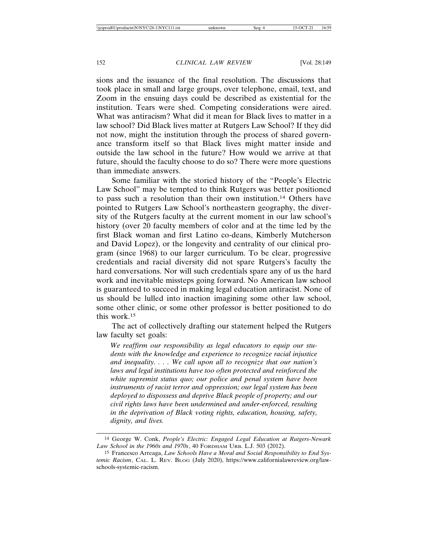sions and the issuance of the final resolution. The discussions that took place in small and large groups, over telephone, email, text, and Zoom in the ensuing days could be described as existential for the institution. Tears were shed. Competing considerations were aired. What was antiracism? What did it mean for Black lives to matter in a law school? Did Black lives matter at Rutgers Law School? If they did not now, might the institution through the process of shared governance transform itself so that Black lives might matter inside and outside the law school in the future? How would we arrive at that future, should the faculty choose to do so? There were more questions than immediate answers.

Some familiar with the storied history of the "People's Electric Law School" may be tempted to think Rutgers was better positioned to pass such a resolution than their own institution.14 Others have pointed to Rutgers Law School's northeastern geography, the diversity of the Rutgers faculty at the current moment in our law school's history (over 20 faculty members of color and at the time led by the first Black woman and first Latino co-deans, Kimberly Mutcherson and David Lopez), or the longevity and centrality of our clinical program (since 1968) to our larger curriculum. To be clear, progressive credentials and racial diversity did not spare Rutgers's faculty the hard conversations. Nor will such credentials spare any of us the hard work and inevitable missteps going forward. No American law school is guaranteed to succeed in making legal education antiracist. None of us should be lulled into inaction imagining some other law school, some other clinic, or some other professor is better positioned to do this work.15

The act of collectively drafting our statement helped the Rutgers law faculty set goals:

*We reaffirm our responsibility as legal educators to equip our students with the knowledge and experience to recognize racial injustice and inequality. . . . We call upon all to recognize that our nation's laws and legal institutions have too often protected and reinforced the white supremist status quo; our police and penal system have been instruments of racist terror and oppression; our legal system has been deployed to dispossess and deprive Black people of property; and our civil rights laws have been undermined and under-enforced, resulting in the deprivation of Black voting rights, education, housing, safety, dignity, and lives.*

<sup>14</sup> George W. Conk, *People's Electric: Engaged Legal Education at Rutgers-Newark Law School in the 1960s and 1970s*, 40 FORDHAM URB. L.J. 503 (2012).

<sup>15</sup> Francesco Arreaga, *Law Schools Have a Moral and Social Responsibility to End Systemic Racism*, CAL. L. REV. BLOG (July 2020), https://www.californialawreview.org/lawschools-systemic-racism.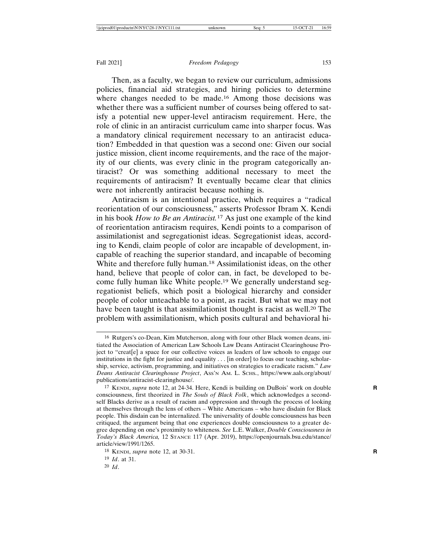Then, as a faculty, we began to review our curriculum, admissions policies, financial aid strategies, and hiring policies to determine where changes needed to be made.<sup>16</sup> Among those decisions was whether there was a sufficient number of courses being offered to satisfy a potential new upper-level antiracism requirement. Here, the role of clinic in an antiracist curriculum came into sharper focus. Was a mandatory clinical requirement necessary to an antiracist education? Embedded in that question was a second one: Given our social justice mission, client income requirements, and the race of the majority of our clients, was every clinic in the program categorically antiracist? Or was something additional necessary to meet the requirements of antiracism? It eventually became clear that clinics were not inherently antiracist because nothing is.

Antiracism is an intentional practice, which requires a "radical reorientation of our consciousness," asserts Professor Ibram X. Kendi in his book *How to Be an Antiracist.*17 As just one example of the kind of reorientation antiracism requires, Kendi points to a comparison of assimilationist and segregationist ideas. Segregationist ideas, according to Kendi, claim people of color are incapable of development, incapable of reaching the superior standard, and incapable of becoming White and therefore fully human.<sup>18</sup> Assimilationist ideas, on the other hand, believe that people of color can, in fact, be developed to become fully human like White people.19 We generally understand segregationist beliefs, which posit a biological hierarchy and consider people of color unteachable to a point, as racist. But what we may not have been taught is that assimilationist thought is racist as well.<sup>20</sup> The problem with assimilationism, which posits cultural and behavioral hi-

20 *Id*.

<sup>16</sup> Rutgers's co-Dean, Kim Mutcherson, along with four other Black women deans, initiated the Association of American Law Schools Law Deans Antiracist Clearinghouse Project to "creat[e] a space for our collective voices as leaders of law schools to engage our institutions in the fight for justice and equality  $\ldots$  [in order] to focus our teaching, scholarship, service, activism, programming, and initiatives on strategies to eradicate racism." *Law Deans Antiracist Clearinghouse Project*, ASS'N AM. L. SCHS., https://www.aals.org/about/ publications/antiracist-clearinghouse/.

<sup>17</sup> KENDI, *supra* note 12, at 24-34. Here, Kendi is building on DuBois' work on double **R** consciousness, first theorized in *The Souls of Black Folk*, which acknowledges a secondself Blacks derive as a result of racism and oppression and through the process of looking at themselves through the lens of others – White Americans – who have disdain for Black people. This disdain can be internalized. The universality of double consciousness has been critiqued, the argument being that one experiences double consciousness to a greater degree depending on one's proximity to whiteness. *See* L.E. Walker, *Double Consciousness in Today's Black America,* 12 STANCE 117 (Apr. 2019), https://openjournals.bsu.edu/stance/ article/view/1991/1265.

<sup>18</sup> KENDI, *supra* note 12, at 30-31. **R**

<sup>19</sup> *Id*. at 31.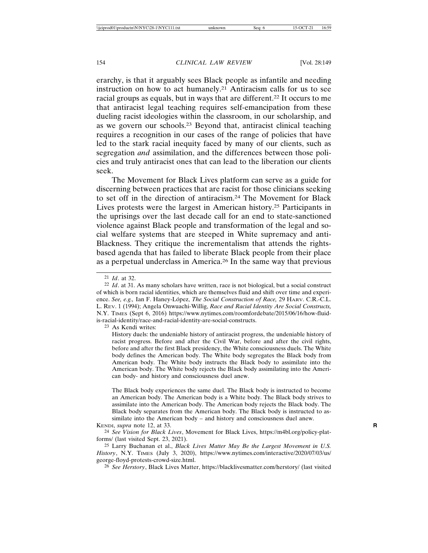erarchy, is that it arguably sees Black people as infantile and needing instruction on how to act humanely.<sup>21</sup> Antiracism calls for us to see racial groups as equals, but in ways that are different.22 It occurs to me that antiracist legal teaching requires self-emancipation from these dueling racist ideologies within the classroom, in our scholarship, and as we govern our schools.23 Beyond that, antiracist clinical teaching requires a recognition in our cases of the range of policies that have led to the stark racial inequity faced by many of our clients, such as segregation *and* assimilation, and the differences between those policies and truly antiracist ones that can lead to the liberation our clients seek.

The Movement for Black Lives platform can serve as a guide for discerning between practices that are racist for those clinicians seeking to set off in the direction of antiracism.24 The Movement for Black Lives protests were the largest in American history.25 Participants in the uprisings over the last decade call for an end to state-sanctioned violence against Black people and transformation of the legal and social welfare systems that are steeped in White supremacy and anti-Blackness. They critique the incrementalism that attends the rightsbased agenda that has failed to liberate Black people from their place as a perpetual underclass in America.26 In the same way that previous

<sup>21</sup> *Id*. at 32.

<sup>22</sup> *Id*. at 31. As many scholars have written, race is not biological, but a social construct of which is born racial identities, which are themselves fluid and shift over time and experience. See, e.g., Ian F. Haney-López, *The Social Construction of Race*, 29 HARV. C.R.-C.L. L. REV. 1 (1994); Angela Onwuachi-Willig, *Race and Racial Identity Are Social Constructs,* N.Y. TIMES (Sept 6, 2016) https://www.nytimes.com/roomfordebate/2015/06/16/how-fluidis-racial-identity/race-and-racial-identity-are-social-constructs.

<sup>23</sup> As Kendi writes:

History duels: the undeniable history of antiracist progress, the undeniable history of racist progress. Before and after the Civil War, before and after the civil rights, before and after the first Black presidency, the White consciousness duels. The White body defines the American body. The White body segregates the Black body from American body. The White body instructs the Black body to assimilate into the American body. The White body rejects the Black body assimilating into the American body- and history and consciousness duel anew.

The Black body experiences the same duel. The Black body is instructed to become an American body. The American body is a White body. The Black body strives to assimilate into the American body. The American body rejects the Black body. The Black body separates from the American body. The Black body is instructed to assimilate into the American body – and history and consciousness duel anew. KENDI, *supra* note 12, at 33. **R**

<sup>24</sup> *See Vision for Black Lives*, Movement for Black Lives, https://m4bl.org/policy-platforms/ (last visited Sept. 23, 2021).

<sup>25</sup> Larry Buchanan et al., *Black Lives Matter May Be the Largest Movement in U.S. History*, N.Y. TIMES (July 3, 2020), https://www.nytimes.com/interactive/2020/07/03/us/ george-floyd-protests-crowd-size.html.

<sup>26</sup> *See Herstory*, Black Lives Matter, https://blacklivesmatter.com/herstory/ (last visited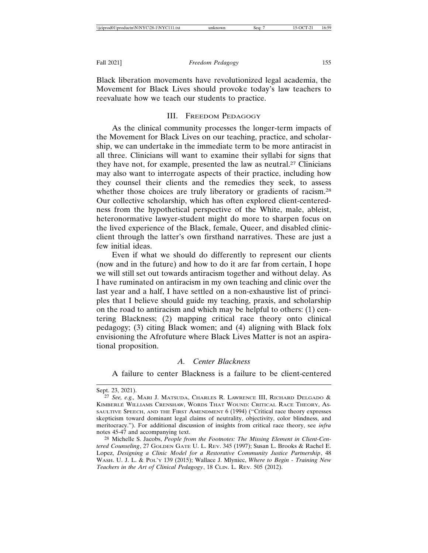Black liberation movements have revolutionized legal academia, the Movement for Black Lives should provoke today's law teachers to reevaluate how we teach our students to practice.

## III. FREEDOM PEDAGOGY

As the clinical community processes the longer-term impacts of the Movement for Black Lives on our teaching, practice, and scholarship, we can undertake in the immediate term to be more antiracist in all three. Clinicians will want to examine their syllabi for signs that they have not, for example, presented the law as neutral.27 Clinicians may also want to interrogate aspects of their practice, including how they counsel their clients and the remedies they seek, to assess whether those choices are truly liberatory or gradients of racism.<sup>28</sup> Our collective scholarship, which has often explored client-centeredness from the hypothetical perspective of the White, male, ableist, heteronormative lawyer-student might do more to sharpen focus on the lived experience of the Black, female, Queer, and disabled clinicclient through the latter's own firsthand narratives. These are just a few initial ideas.

Even if what we should do differently to represent our clients (now and in the future) and how to do it are far from certain, I hope we will still set out towards antiracism together and without delay. As I have ruminated on antiracism in my own teaching and clinic over the last year and a half, I have settled on a non-exhaustive list of principles that I believe should guide my teaching, praxis, and scholarship on the road to antiracism and which may be helpful to others: (1) centering Blackness; (2) mapping critical race theory onto clinical pedagogy; (3) citing Black women; and (4) aligning with Black folx envisioning the Afrofuture where Black Lives Matter is not an aspirational proposition.

## *A. Center Blackness*

A failure to center Blackness is a failure to be client-centered

Sept. 23, 2021).

<sup>27</sup> *See, e.g.,* MARI J. MATSUDA, CHARLES R. LAWRENCE III, RICHARD DELGADO & KIMBERLÉ WILLIAMS CRENSHAW, WORDS THAT WOUND: CRITICAL RACE THEORY, AS-SAULTIVE SPEECH, AND THE FIRST AMENDMENT 6 (1994) ("Critical race theory expresses skepticism toward dominant legal claims of neutrality, objectivity, color blindness, and meritocracy."). For additional discussion of insights from critical race theory, see *infra* notes 45-47 and accompanying text.

<sup>28</sup> Michelle S. Jacobs, *People from the Footnotes: The Missing Element in Client-Centered Counseling*, 27 GOLDEN GATE U. L. REV. 345 (1997); Susan L. Brooks & Rachel E. Lopez, *Designing a Clinic Model for a Restorative Community Justice Partnership*, 48 WASH. U. J. L. & POL'Y 139 (2015); Wallace J. Mlyniec, *Where to Begin - Training New Teachers in the Art of Clinical Pedagogy*, 18 CLIN. L. REV. 505 (2012).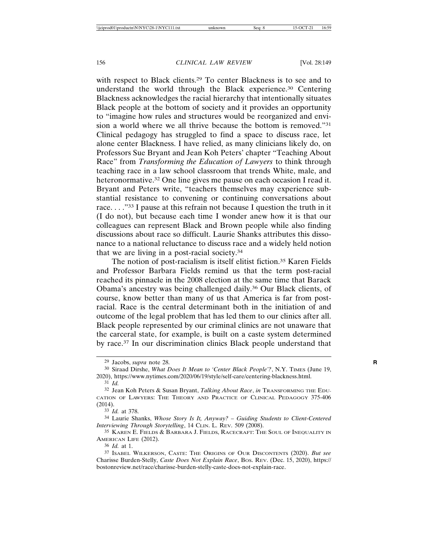with respect to Black clients.29 To center Blackness is to see and to understand the world through the Black experience.30 Centering Blackness acknowledges the racial hierarchy that intentionally situates Black people at the bottom of society and it provides an opportunity to "imagine how rules and structures would be reorganized and envision a world where we all thrive because the bottom is removed."31 Clinical pedagogy has struggled to find a space to discuss race, let alone center Blackness. I have relied, as many clinicians likely do, on Professors Sue Bryant and Jean Koh Peters' chapter "Teaching About Race" from *Transforming the Education of Lawyers* to think through teaching race in a law school classroom that trends White, male, and heteronormative.<sup>32</sup> One line gives me pause on each occasion I read it. Bryant and Peters write, "teachers themselves may experience substantial resistance to convening or continuing conversations about race. . . ."33 I pause at this refrain not because I question the truth in it (I do not), but because each time I wonder anew how it is that our colleagues can represent Black and Brown people while also finding discussions about race so difficult. Laurie Shanks attributes this dissonance to a national reluctance to discuss race and a widely held notion that we are living in a post-racial society.34

The notion of post-racialism is itself elitist fiction.<sup>35</sup> Karen Fields and Professor Barbara Fields remind us that the term post-racial reached its pinnacle in the 2008 election at the same time that Barack Obama's ancestry was being challenged daily.36 Our Black clients, of course, know better than many of us that America is far from postracial. Race is the central determinant both in the initiation of and outcome of the legal problem that has led them to our clinics after all. Black people represented by our criminal clinics are not unaware that the carceral state, for example, is built on a caste system determined by race.37 In our discrimination clinics Black people understand that

<sup>29</sup> Jacobs, *supra* note 28. **R**

<sup>30</sup> Siraad Dirshe, *What Does It Mean to 'Center Black People'?*, N.Y. TIMES (June 19, 2020), https://www.nytimes.com/2020/06/19/style/self-care/centering-blackness.html. 31 *Id.*

<sup>32</sup> Jean Koh Peters & Susan Bryant, *Talking About Race*, *in* TRANSFORMING THE EDU-CATION OF LAWYERS: THE THEORY AND PRACTICE OF CLINICAL PEDAGOGY 375-406 (2014).

<sup>33</sup> *Id.* at 378.

<sup>34</sup> Laurie Shanks, *Whose Story Is It, Anyway? – Guiding Students to Client-Centered Interviewing Through Storytelling*, 14 CLIN. L. REV. 509 (2008).

<sup>35</sup> KAREN E. FIELDS & BARBARA J. FIELDS, RACECRAFT: THE SOUL OF INEQUALITY IN AMERICAN LIFE (2012).

<sup>36</sup> *Id.* at 1.

<sup>37</sup> ISABEL WILKERSON, CASTE: THE ORIGINS OF OUR DISCONTENTS (2020). *But see* Charisse Burden-Stelly, *Caste Does Not Explain Race*, BOS. REV. (Dec. 15, 2020), https:// bostonreview.net/race/charisse-burden-stelly-caste-does-not-explain-race.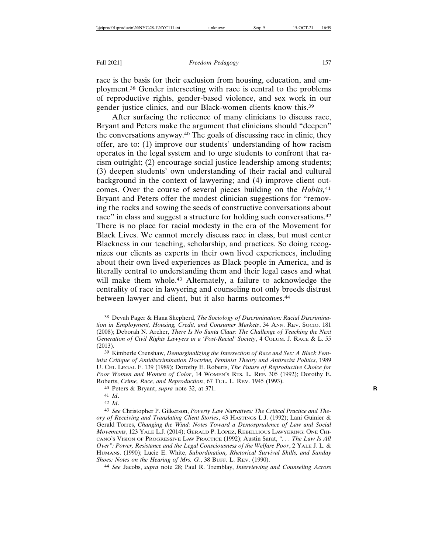race is the basis for their exclusion from housing, education, and employment.38 Gender intersecting with race is central to the problems of reproductive rights, gender-based violence, and sex work in our gender justice clinics, and our Black-women clients know this.39

After surfacing the reticence of many clinicians to discuss race, Bryant and Peters make the argument that clinicians should "deepen" the conversations anyway.40 The goals of discussing race in clinic, they offer, are to: (1) improve our students' understanding of how racism operates in the legal system and to urge students to confront that racism outright; (2) encourage social justice leadership among students; (3) deepen students' own understanding of their racial and cultural background in the context of lawyering; and (4) improve client outcomes. Over the course of several pieces building on the *Habits,*<sup>41</sup> Bryant and Peters offer the modest clinician suggestions for "removing the rocks and sowing the seeds of constructive conversations about race" in class and suggest a structure for holding such conversations.<sup>42</sup> There is no place for racial modesty in the era of the Movement for Black Lives. We cannot merely discuss race in class, but must center Blackness in our teaching, scholarship, and practices. So doing recognizes our clients as experts in their own lived experiences, including about their own lived experiences as Black people in America, and is literally central to understanding them and their legal cases and what will make them whole.<sup>43</sup> Alternately, a failure to acknowledge the centrality of race in lawyering and counseling not only breeds distrust between lawyer and client, but it also harms outcomes.44

40 Peters & Bryant, *supra* note 32, at 371. **R**

42 *Id*.

44 *See* Jacobs, *supra* note 28; Paul R. Tremblay, *Interviewing and Counseling Across*

<sup>38</sup> Devah Pager & Hana Shepherd, *The Sociology of Discrimination: Racial Discrimination in Employment, Housing, Credit, and Consumer Markets*, 34 ANN. REV. SOCIO. 181 (2008); Deborah N. Archer, *There Is No Santa Claus: The Challenge of Teaching the Next Generation of Civil Rights Lawyers in a 'Post-Racial' Society*, 4 COLUM. J. RACE & L. 55 (2013).

<sup>39</sup> Kimberle Crenshaw, *Demarginalizing the Intersection of Race and Sex: A Black Feminist Critique of Antidiscrimination Doctrine, Feminist Theory and Antiracist Politics*, 1989 U. CHI. LEGAL F. 139 (1989); Dorothy E. Roberts, *The Future of Reproductive Choice for Poor Women and Women of Color*, 14 WOMEN'S RTS. L. REP. 305 (1992); Dorothy E. Roberts, *Crime, Race, and Reproduction*, 67 TUL. L. REV. 1945 (1993).

<sup>41</sup> *Id*.

<sup>43</sup> *See* Christopher P. Gilkerson, *Poverty Law Narratives: The Critical Practice and Theory of Receiving and Translating Client Stories*, 43 HASTINGS L.J. (1992); Lani Guinier & Gerald Torres, *Changing the Wind: Notes Toward a Demosprudence of Law and Social Movements*, 123 YALE L.J. (2014); GERALD P. LÓPEZ, REBELLIOUS LAWYERING: ONE CHI-CANO'S VISION OF PROGRESSIVE LAW PRACTICE (1992); Austin Sarat, *". . . The Law Is All Over": Power, Resistance and the Legal Consciousness of the Welfare Poor*, 2 YALE J. L. & HUMANS. (1990); Lucie E. White, *Subordination, Rhetorical Survival Skills, and Sunday Shoes: Notes on the Hearing of Mrs. G.*, 38 BUFF. L. REV. (1990).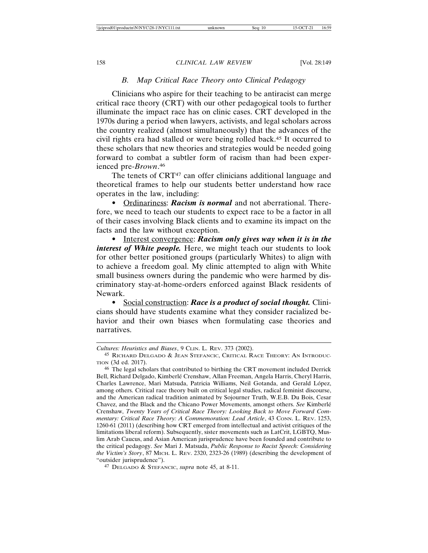## *B. Map Critical Race Theory onto Clinical Pedagogy*

Clinicians who aspire for their teaching to be antiracist can merge critical race theory (CRT) with our other pedagogical tools to further illuminate the impact race has on clinic cases. CRT developed in the 1970s during a period when lawyers, activists, and legal scholars across the country realized (almost simultaneously) that the advances of the civil rights era had stalled or were being rolled back.45 It occurred to these scholars that new theories and strategies would be needed going forward to combat a subtler form of racism than had been experienced pre-*Brown*. 46

The tenets of CRT<sup>47</sup> can offer clinicians additional language and theoretical frames to help our students better understand how race operates in the law, including:

• Ordinariness: *Racism is normal* and not aberrational. Therefore, we need to teach our students to expect race to be a factor in all of their cases involving Black clients and to examine its impact on the facts and the law without exception.

• Interest convergence: *Racism only gives way when it is in the interest of White people*. Here, we might teach our students to look for other better positioned groups (particularly Whites) to align with to achieve a freedom goal. My clinic attempted to align with White small business owners during the pandemic who were harmed by discriminatory stay-at-home-orders enforced against Black residents of Newark.

• Social construction: *Race is a product of social thought.* Clinicians should have students examine what they consider racialized behavior and their own biases when formulating case theories and narratives.

*Cultures: Heuristics and Biases*, 9 CLIN. L. REV. 373 (2002).

<sup>45</sup> RICHARD DELGADO & JEAN STEFANCIC, CRITICAL RACE THEORY: AN INTRODUC-TION (3d ed. 2017).

<sup>46</sup> The legal scholars that contributed to birthing the CRT movement included Derrick Bell, Richard Delgado, Kimberlé Crenshaw, Allan Freeman, Angela Harris, Cheryl Harris, Charles Lawrence, Mari Matsuda, Patricia Williams, Neil Gotanda, and Gerald López, among others. Critical race theory built on critical legal studies, radical feminist discourse, and the American radical tradition animated by Sojourner Truth, W.E.B. Du Bois, Cesar Chavez, and the Black and the Chicano Power Movements, amongst others. *See Kimberlé* Crenshaw, *Twenty Years of Critical Race Theory: Looking Back to Move Forward Commentary: Critical Race Theory: A Commemoration: Lead Article*, 43 CONN. L. REV. 1253, 1260-61 (2011) (describing how CRT emerged from intellectual and activist critiques of the limitations liberal reform). Subsequently, sister movements such as LatCrit, LGBTQ, Muslim Arab Caucus, and Asian American jurisprudence have been founded and contribute to the critical pedagogy. *See* Mari J. Matsuda, *Public Response to Racist Speech: Considering the Victim's Story*, 87 MICH. L. REV. 2320, 2323-26 (1989) (describing the development of "outsider jurisprudence").

<sup>47</sup> DELGADO & STEFANCIC, *supra* note 45, at 8-11.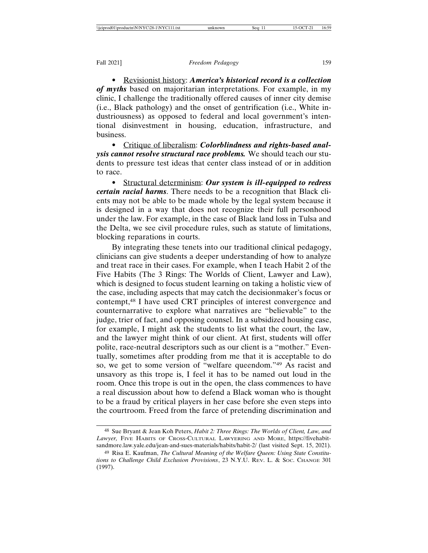• Revisionist history: *America's historical record is a collection of myths* based on majoritarian interpretations. For example, in my clinic, I challenge the traditionally offered causes of inner city demise (i.e., Black pathology) and the onset of gentrification (i.e., White industriousness) as opposed to federal and local government's intentional disinvestment in housing, education, infrastructure, and business.

• Critique of liberalism: *Colorblindness and rights-based analysis cannot resolve structural race problems.* We should teach our students to pressure test ideas that center class instead of or in addition to race.

• Structural determinism: *Our system is ill-equipped to redress certain racial harms*. There needs to be a recognition that Black clients may not be able to be made whole by the legal system because it is designed in a way that does not recognize their full personhood under the law. For example, in the case of Black land loss in Tulsa and the Delta, we see civil procedure rules, such as statute of limitations, blocking reparations in courts.

By integrating these tenets into our traditional clinical pedagogy, clinicians can give students a deeper understanding of how to analyze and treat race in their cases. For example, when I teach Habit 2 of the Five Habits (The 3 Rings: The Worlds of Client, Lawyer and Law), which is designed to focus student learning on taking a holistic view of the case, including aspects that may catch the decisionmaker's focus or contempt,48 I have used CRT principles of interest convergence and counternarrative to explore what narratives are "believable" to the judge, trier of fact, and opposing counsel. In a subsidized housing case, for example, I might ask the students to list what the court, the law, and the lawyer might think of our client. At first, students will offer polite, race-neutral descriptors such as our client is a "mother." Eventually, sometimes after prodding from me that it is acceptable to do so, we get to some version of "welfare queendom."49 As racist and unsavory as this trope is, I feel it has to be named out loud in the room. Once this trope is out in the open, the class commences to have a real discussion about how to defend a Black woman who is thought to be a fraud by critical players in her case before she even steps into the courtroom. Freed from the farce of pretending discrimination and

<sup>48</sup> Sue Bryant & Jean Koh Peters, *Habit 2: Three Rings: The Worlds of Client, Law, and Lawyer,* FIVE HABITS OF CROSS-CULTURAL LAWYERING AND MORE, https://fivehabitsandmore.law.yale.edu/jean-and-sues-materials/habits/habit-2/ (last visited Sept. 15, 2021).

<sup>49</sup> Risa E. Kaufman, *The Cultural Meaning of the Welfare Queen: Using State Constitutions to Challenge Child Exclusion Provisions*, 23 N.Y.U. REV. L. & SOC. CHANGE 301 (1997).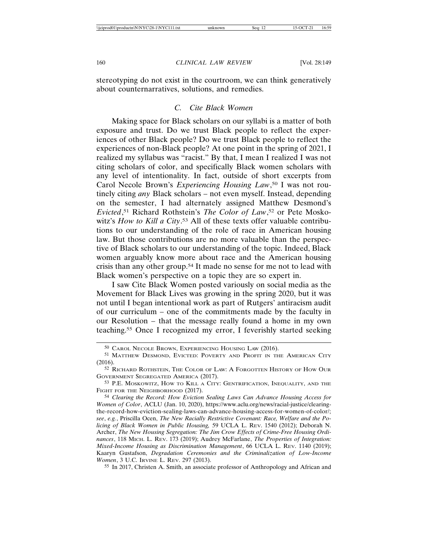stereotyping do not exist in the courtroom, we can think generatively about counternarratives, solutions, and remedies.

## *C. Cite Black Women*

Making space for Black scholars on our syllabi is a matter of both exposure and trust. Do we trust Black people to reflect the experiences of other Black people? Do we trust Black people to reflect the experiences of non-Black people? At one point in the spring of 2021, I realized my syllabus was "racist." By that, I mean I realized I was not citing scholars of color, and specifically Black women scholars with any level of intentionality. In fact, outside of short excerpts from Carol Necole Brown's *Experiencing Housing Law*, 50 I was not routinely citing *any* Black scholars – not even myself. Instead, depending on the semester, I had alternately assigned Matthew Desmond's *Evicted*, 51 Richard Rothstein's *The Color of Law*, 52 or Pete Moskowitz's *How to Kill a City*. 53 All of these texts offer valuable contributions to our understanding of the role of race in American housing law. But those contributions are no more valuable than the perspective of Black scholars to our understanding of the topic. Indeed, Black women arguably know more about race and the American housing crisis than any other group.54 It made no sense for me not to lead with Black women's perspective on a topic they are so expert in.

I saw Cite Black Women posted variously on social media as the Movement for Black Lives was growing in the spring 2020, but it was not until I began intentional work as part of Rutgers' antiracism audit of our curriculum – one of the commitments made by the faculty in our Resolution – that the message really found a home in my own teaching.55 Once I recognized my error, I feverishly started seeking

55 In 2017, Christen A. Smith, an associate professor of Anthropology and African and

<sup>50</sup> CAROL NECOLE BROWN, EXPERIENCING HOUSING LAW (2016).

<sup>51</sup> MATTHEW DESMOND, EVICTED: POVERTY AND PROFIT IN THE AMERICAN CITY (2016).

<sup>52</sup> RICHARD ROTHSTEIN, THE COLOR OF LAW: A FORGOTTEN HISTORY OF HOW OUR GOVERNMENT SEGREGATED AMERICA (2017).

<sup>53</sup> P.E. MOSKOWITZ, HOW TO KILL A CITY: GENTRIFICATION, INEQUALITY, AND THE FIGHT FOR THE NEIGHBORHOOD (2017).

<sup>54</sup> *Clearing the Record: How Eviction Sealing Laws Can Advance Housing Access for Women of Color*, ACLU (Jan. 10, 2020), https://www.aclu.org/news/racial-justice/clearingthe-record-how-eviction-sealing-laws-can-advance-housing-access-for-women-of-color/; *see*, *e.g.*, Priscilla Ocen, *The New Racially Restrictive Covenant: Race, Welfare and the Policing of Black Women in Public Housing,* 59 UCLA L. REV. 1540 (2012); Deborah N. Archer, *The New Housing Segregation: The Jim Crow Effects of Crime-Free Housing Ordinances*, 118 MICH. L. REV. 173 (2019); Audrey McFarlane, *The Properties of Integration: Mixed-Income Housing as Discrimination Management*, 66 UCLA L. REV. 1140 (2019); Kaaryn Gustafson, *Degradation Ceremonies and the Criminalization of Low-Income Women*, 3 U.C. IRVINE L. REV. 297 (2013).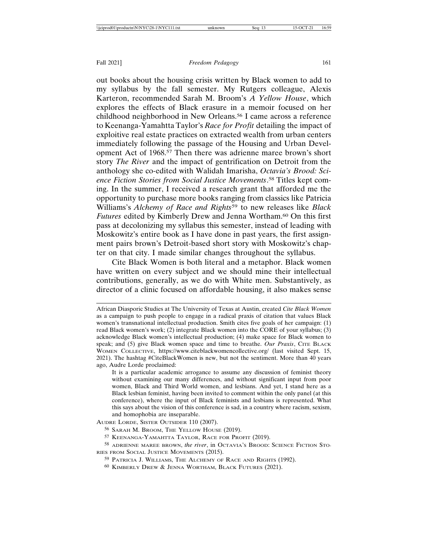out books about the housing crisis written by Black women to add to my syllabus by the fall semester. My Rutgers colleague, Alexis Karteron, recommended Sarah M. Broom's *A Yellow House*, which explores the effects of Black erasure in a memoir focused on her childhood neighborhood in New Orleans.56 I came across a reference to Keenanga-Yamahtta Taylor's *Race for Profit* detailing the impact of exploitive real estate practices on extracted wealth from urban centers immediately following the passage of the Housing and Urban Development Act of 1968.57 Then there was adrienne maree brown's short story *The River* and the impact of gentrification on Detroit from the anthology she co-edited with Walidah Imarisha, *Octavia's Brood: Science Fiction Stories from Social Justice Movements*. 58 Titles kept coming. In the summer, I received a research grant that afforded me the opportunity to purchase more books ranging from classics like Patricia Williams's *Alchemy of Race and Rights*59 to new releases like *Black Futures* edited by Kimberly Drew and Jenna Wortham.<sup>60</sup> On this first pass at decolonizing my syllabus this semester, instead of leading with Moskowitz's entire book as I have done in past years, the first assignment pairs brown's Detroit-based short story with Moskowitz's chapter on that city. I made similar changes throughout the syllabus.

Cite Black Women is both literal and a metaphor. Black women have written on every subject and we should mine their intellectual contributions, generally, as we do with White men. Substantively, as director of a clinic focused on affordable housing, it also makes sense

African Diasporic Studies at The University of Texas at Austin, created *Cite Black Women* as a campaign to push people to engage in a radical praxis of citation that values Black women's transnational intellectual production. Smith cites five goals of her campaign: (1) read Black women's work; (2) integrate Black women into the CORE of your syllabus; (3) acknowledge Black women's intellectual production; (4) make space for Black women to speak; and (5) give Black women space and time to breathe. *Our Praxis*, CITE BLACK WOMEN COLLECTIVE, https://www.citeblackwomencollective.org/ (last visited Sept. 15, 2021). The hashtag #CiteBlackWomen is new, but not the sentiment. More than 40 years ago, Audre Lorde proclaimed:

It is a particular academic arrogance to assume any discussion of feminist theory without examining our many differences, and without significant input from poor women, Black and Third World women, and lesbians. And yet, I stand here as a Black lesbian feminist, having been invited to comment within the only panel (at this conference), where the input of Black feminists and lesbians is represented. What this says about the vision of this conference is sad, in a country where racism, sexism, and homophobia are inseparable.

AUDRE LORDE, SISTER OUTSIDER 110 (2007).

<sup>56</sup> SARAH M. BROOM, THE YELLOW HOUSE (2019).

<sup>57</sup> KEENANGA-YAMAHTTA TAYLOR, RACE FOR PROFIT (2019).

<sup>58</sup> ADRIENNE MAREE BROWN, *the river*, in OCTAVIA'S BROOD: SCIENCE FICTION STO-RIES FROM SOCIAL JUSTICE MOVEMENTS (2015).

<sup>59</sup> PATRICIA J. WILLIAMS, THE ALCHEMY OF RACE AND RIGHTS (1992).

<sup>60</sup> KIMBERLY DREW & JENNA WORTHAM, BLACK FUTURES (2021).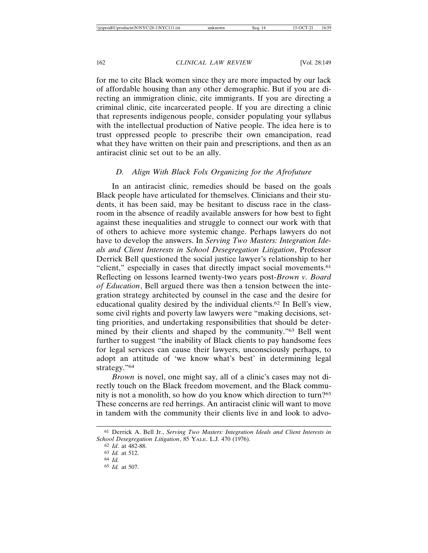for me to cite Black women since they are more impacted by our lack of affordable housing than any other demographic. But if you are directing an immigration clinic, cite immigrants. If you are directing a criminal clinic, cite incarcerated people. If you are directing a clinic that represents indigenous people, consider populating your syllabus with the intellectual production of Native people. The idea here is to trust oppressed people to prescribe their own emancipation, read what they have written on their pain and prescriptions, and then as an antiracist clinic set out to be an ally.

## *D. Align With Black Folx Organizing for the Afrofuture*

In an antiracist clinic, remedies should be based on the goals Black people have articulated for themselves. Clinicians and their students, it has been said, may be hesitant to discuss race in the classroom in the absence of readily available answers for how best to fight against these inequalities and struggle to connect our work with that of others to achieve more systemic change. Perhaps lawyers do not have to develop the answers. In *Serving Two Masters: Integration Ideals and Client Interests in School Desegregation Litigation*, Professor Derrick Bell questioned the social justice lawyer's relationship to her "client," especially in cases that directly impact social movements.<sup>61</sup> Reflecting on lessons learned twenty-two years post-*Brown v. Board of Education*, Bell argued there was then a tension between the integration strategy architected by counsel in the case and the desire for educational quality desired by the individual clients.62 In Bell's view, some civil rights and poverty law lawyers were "making decisions, setting priorities, and undertaking responsibilities that should be determined by their clients and shaped by the community."63 Bell went further to suggest "the inability of Black clients to pay handsome fees for legal services can cause their lawyers, unconsciously perhaps, to adopt an attitude of 'we know what's best' in determining legal strategy."64

*Brown* is novel, one might say, all of a clinic's cases may not directly touch on the Black freedom movement, and the Black community is not a monolith, so how do you know which direction to turn?65 These concerns are red herrings. An antiracist clinic will want to move in tandem with the community their clients live in and look to advo-

<sup>61</sup> Derrick A. Bell Jr., *Serving Two Masters: Integration Ideals and Client Interests in School Desegregation Litigation*, 85 YALE. L.J. 470 (1976).

<sup>62</sup> *Id*. at 482-88.

<sup>63</sup> *Id.* at 512. 64 *Id.*

<sup>65</sup> *Id.* at 507.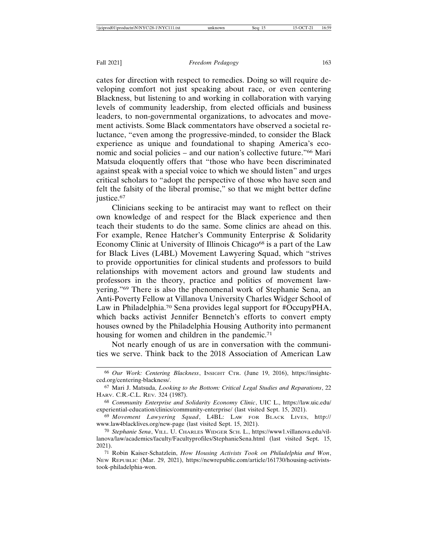cates for direction with respect to remedies. Doing so will require developing comfort not just speaking about race, or even centering Blackness, but listening to and working in collaboration with varying levels of community leadership, from elected officials and business leaders, to non-governmental organizations, to advocates and movement activists. Some Black commentators have observed a societal reluctance, "even among the progressive-minded, to consider the Black experience as unique and foundational to shaping America's economic and social policies – and our nation's collective future."66 Mari Matsuda eloquently offers that "those who have been discriminated against speak with a special voice to which we should listen" and urges critical scholars to "adopt the perspective of those who have seen and felt the falsity of the liberal promise," so that we might better define justice.<sup>67</sup>

Clinicians seeking to be antiracist may want to reflect on their own knowledge of and respect for the Black experience and then teach their students to do the same. Some clinics are ahead on this. For example, Renee Hatcher's Community Enterprise & Solidarity Economy Clinic at University of Illinois Chicago<sup>68</sup> is a part of the Law for Black Lives (L4BL) Movement Lawyering Squad, which "strives to provide opportunities for clinical students and professors to build relationships with movement actors and ground law students and professors in the theory, practice and politics of movement lawyering."69 There is also the phenomenal work of Stephanie Sena, an Anti-Poverty Fellow at Villanova University Charles Widger School of Law in Philadelphia.<sup>70</sup> Sena provides legal support for #OccupyPHA, which backs activist Jennifer Bennetch's efforts to convert empty houses owned by the Philadelphia Housing Authority into permanent housing for women and children in the pandemic.<sup>71</sup>

Not nearly enough of us are in conversation with the communities we serve. Think back to the 2018 Association of American Law

<sup>66</sup> *Our Work: Centering Blackness*, INSIGHT CTR. (June 19, 2016), https://insightcced.org/centering-blackness/.

<sup>67</sup> Mari J. Matsuda, *Looking to the Bottom: Critical Legal Studies and Reparations*, 22 HARV. C.R.-C.L. REV. 324 (1987).

<sup>68</sup> *Community Enterprise and Solidarity Economy Clinic*, UIC L., https://law.uic.edu/ experiential-education/clinics/community-enterprise/ (last visited Sept. 15, 2021).

<sup>69</sup> *Movement Lawyering Squad*, L4BL: LAW FOR BLACK LIVES, http:// www.law4blacklives.org/new-page (last visited Sept. 15, 2021).

<sup>70</sup> *Stephanie Sena*, VILL. U. CHARLES WIDGER SCH. L., https://www1.villanova.edu/villanova/law/academics/faculty/Facultyprofiles/StephanieSena.html (last visited Sept. 15, 2021).

<sup>71</sup> Robin Kaiser-Schatzlein, *How Housing Activists Took on Philadelphia and Won*, NEW REPUBLIC (Mar. 29, 2021), https://newrepublic.com/article/161730/housing-activiststook-philadelphia-won.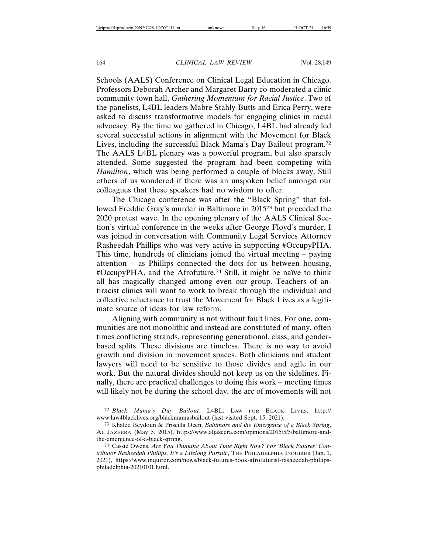Schools (AALS) Conference on Clinical Legal Education in Chicago. Professors Deborah Archer and Margaret Barry co-moderated a clinic community town hall, *Gathering Momentum for Racial Justice*. Two of the panelists, L4BL leaders Mabre Stahly-Butts and Erica Perry, were asked to discuss transformative models for engaging clinics in racial advocacy. By the time we gathered in Chicago, L4BL had already led several successful actions in alignment with the Movement for Black Lives, including the successful Black Mama's Day Bailout program.72 The AALS L4BL plenary was a powerful program, but also sparsely attended. Some suggested the program had been competing with *Hamilton*, which was being performed a couple of blocks away. Still others of us wondered if there was an unspoken belief amongst our colleagues that these speakers had no wisdom to offer.

The Chicago conference was after the "Black Spring" that followed Freddie Gray's murder in Baltimore in 201573 but preceded the 2020 protest wave. In the opening plenary of the AALS Clinical Section's virtual conference in the weeks after George Floyd's murder, I was joined in conversation with Community Legal Services Attorney Rasheedah Phillips who was very active in supporting #OccupyPHA. This time, hundreds of clinicians joined the virtual meeting – paying attention – as Phillips connected the dots for us between housing, #OccupyPHA, and the Afrofuture.<sup>74</sup> Still, it might be naïve to think all has magically changed among even our group. Teachers of antiracist clinics will want to work to break through the individual and collective reluctance to trust the Movement for Black Lives as a legitimate source of ideas for law reform.

Aligning with community is not without fault lines. For one, communities are not monolithic and instead are constituted of many, often times conflicting strands, representing generational, class, and genderbased splits. These divisions are timeless. There is no way to avoid growth and division in movement spaces. Both clinicians and student lawyers will need to be sensitive to those divides and agile in our work. But the natural divides should not keep us on the sidelines. Finally, there are practical challenges to doing this work – meeting times will likely not be during the school day, the arc of movements will not

<sup>72</sup> *Black Mama's Day Bailout*, L4BL: LAW FOR BLACK LIVES, http:// www.law4blacklives.org/blackmamasbailout (last visited Sept. 15, 2021).

<sup>73</sup> Khaled Beydoun & Priscilla Ocen, *Baltimore and the Emergence of a Black Spring*, AL JAZEERA (May 5, 2015), https://www.aljazeera.com/opinions/2015/5/5/baltimore-andthe-emergence-of-a-black-spring.

<sup>74</sup> Cassie Owens, *Are You Thinking About Time Right Now? For 'Black Futures' Contributor Rasheedah Phillips, It's a Lifelong Pursuit.*, THE PHILADELPHIA INQUIRER (Jan. 1, 2021), https://www.inquirer.com/news/black-futures-book-afrofuturist-rasheedah-phillipsphiladelphia-20210101.html.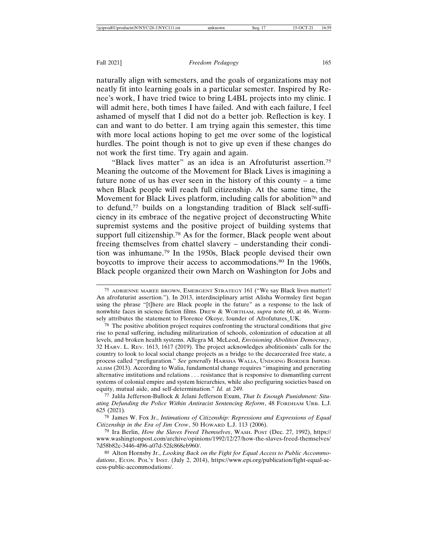naturally align with semesters, and the goals of organizations may not neatly fit into learning goals in a particular semester. Inspired by Renee's work, I have tried twice to bring L4BL projects into my clinic. I will admit here, both times I have failed. And with each failure, I feel ashamed of myself that I did not do a better job. Reflection is key. I can and want to do better. I am trying again this semester, this time with more local actions hoping to get me over some of the logistical hurdles. The point though is not to give up even if these changes do not work the first time. Try again and again.

"Black lives matter" as an idea is an Afrofuturist assertion.75 Meaning the outcome of the Movement for Black Lives is imagining a future none of us has ever seen in the history of this county – a time when Black people will reach full citizenship. At the same time, the Movement for Black Lives platform, including calls for abolition<sup>76</sup> and to defund,77 builds on a longstanding tradition of Black self-sufficiency in its embrace of the negative project of deconstructing White supremist systems and the positive project of building systems that support full citizenship.<sup>78</sup> As for the former, Black people went about freeing themselves from chattel slavery – understanding their condition was inhumane.79 In the 1950s, Black people devised their own boycotts to improve their access to accommodations.<sup>80</sup> In the 1960s, Black people organized their own March on Washington for Jobs and

<sup>75</sup> ADRIENNE MAREE BROWN, EMERGENT STRATEGY 161 ("We say Black lives matter!/ An afrofuturist assertion."). In 2013, interdisciplinary artist Alisha Wormsley first began using the phrase "[t]here are Black people in the future" as a response to the lack of nonwhite faces in science fiction films. DREW & WORTHAM, *supra* note 60, at 46. Wormsely attributes the statement to Florence Okoye, founder of Afrofutures\_UK.

<sup>76</sup> The positive abolition project requires confronting the structural conditions that give rise to penal suffering, including militarization of schools, colonization of education at all levels, and broken health systems. Allegra M. McLeod, *Envisioning Abolition Democracy*, 32 HARV. L. REV. 1613, 1617 (2019). The project acknowledges abolitionists' calls for the country to look to local social change projects as a bridge to the decarcerated free state, a process called "prefiguration." *See generally* HARSHA WALIA, UNDOING BORDER IMPERI-ALISM (2013). According to Walia, fundamental change requires "imagining and generating alternative institutions and relations . . . resistance that is responsive to dismantling current systems of colonial empire and system hierarchies, while also prefiguring societies based on equity, mutual aide, and self-determination." *Id.* at 249.

<sup>77</sup> Jalila Jefferson-Bullock & Jelani Jefferson Exum, *That Is Enough Punishment: Situating Defunding the Police Within Antiracist Sentencing Reform*, 48 FORDHAM URB. L.J. 625 (2021).

<sup>78</sup> James W. Fox Jr., *Intimations of Citizenship: Repressions and Expressions of Equal Citizenship in the Era of Jim Crow*, 50 HOWARD L.J. 113 (2006).

<sup>79</sup> Ira Berlin, *How the Slaves Freed Themselves*, WASH. POST (Dec. 27, 1992), https:// www.washingtonpost.com/archive/opinions/1992/12/27/how-the-slaves-freed-themselves/ 7d58b82c-3446-4f96-a07d-52fc868eb960/.

<sup>80</sup> Alton Hornsby Jr., *Looking Back on the Fight for Equal Access to Public Accommo*dations, ECON. POL'Y INST. (July 2, 2014), https://www.epi.org/publication/fight-equal-access-public-accommodations/.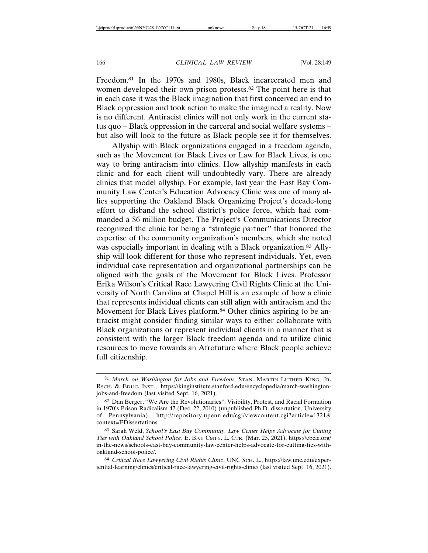Freedom.81 In the 1970s and 1980s, Black incarcerated men and women developed their own prison protests.82 The point here is that in each case it was the Black imagination that first conceived an end to Black oppression and took action to make the imagined a reality. Now is no different. Antiracist clinics will not only work in the current status quo – Black oppression in the carceral and social welfare systems – but also will look to the future as Black people see it for themselves.

Allyship with Black organizations engaged in a freedom agenda, such as the Movement for Black Lives or Law for Black Lives, is one way to bring antiracism into clinics. How allyship manifests in each clinic and for each client will undoubtedly vary. There are already clinics that model allyship. For example, last year the East Bay Community Law Center's Education Advocacy Clinic was one of many allies supporting the Oakland Black Organizing Project's decade-long effort to disband the school district's police force, which had commanded a \$6 million budget. The Project's Communications Director recognized the clinic for being a "strategic partner" that honored the expertise of the community organization's members, which she noted was especially important in dealing with a Black organization.<sup>83</sup> Allyship will look different for those who represent individuals. Yet, even individual case representation and organizational partnerships can be aligned with the goals of the Movement for Black Lives. Professor Erika Wilson's Critical Race Lawyering Civil Rights Clinic at the University of North Carolina at Chapel Hill is an example of how a clinic that represents individual clients can still align with antiracism and the Movement for Black Lives platform.<sup>84</sup> Other clinics aspiring to be antiracist might consider finding similar ways to either collaborate with Black organizations or represent individual clients in a manner that is consistent with the larger Black freedom agenda and to utilize clinic resources to move towards an Afrofuture where Black people achieve full citizenship.

<sup>81</sup> *March on Washington for Jobs and Freedom*, STAN. MARTIN LUTHER KING, JR. RSCH. & EDUC. INST., https://kinginstitute.stanford.edu/encyclopedia/march-washingtonjobs-and-freedom (last visited Sept. 16, 2021).

 $82$  Dan Berger, "We Are the Revolutionaries": Visibility, Protest, and Racial Formation in 1970's Prison Radicalism 47 (Dec. 22, 2010) (unpublished Ph.D. dissertation, University of Pennsylvania), http://repository.upenn.edu/cgi/viewcontent.cgi?article=1321& context=EDissertations.

<sup>83</sup> Sarah Weld, *School's East Bay Community. Law Center Helps Advocate for Cutting Ties with Oakland School Police*, E. BAY CMTY. L. CTR. (Mar. 25, 2021), https://ebclc.org/ in-the-news/schools-east-bay-community-law-center-helps-advocate-for-cutting-ties-withoakland-school-police/.

<sup>84</sup> *Critical Race Lawyering Civil Rights Clinic*, UNC SCH. L., https://law.unc.edu/experiential-learning/clinics/critical-race-lawyering-civil-rights-clinic/ (last visited Sept. 16, 2021).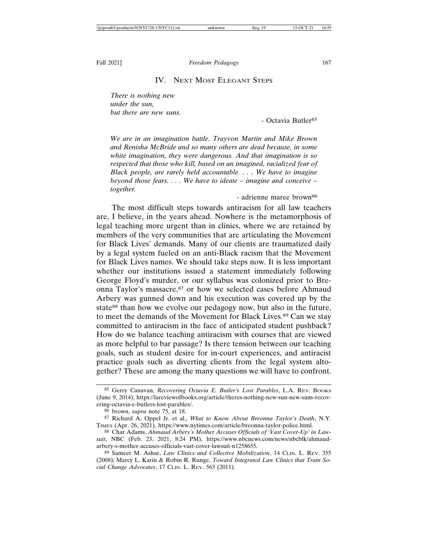## IV. NEXT MOST ELEGANT STEPS

*There is nothing new under the sun, but there are new suns.*

- Octavia Butler<sup>85</sup>

*We are in an imagination battle. Trayvon Martin and Mike Brown and Renisha McBride and so many others are dead because, in some white imagination, they were dangerous. And that imagination is so respected that those who kill, based on an imagined, racialized fear of Black people, are rarely held accountable. . . . We have to imagine beyond those fears. . . . We have to ideate – imagine and conceive – together.*

- adrienne maree brown<sup>86</sup>

The most difficult steps towards antiracism for all law teachers are, I believe, in the years ahead. Nowhere is the metamorphosis of legal teaching more urgent than in clinics, where we are retained by members of the very communities that are articulating the Movement for Black Lives' demands. Many of our clients are traumatized daily by a legal system fueled on an anti-Black racism that the Movement for Black Lives names. We should take steps now. It is less important whether our institutions issued a statement immediately following George Floyd's murder, or our syllabus was colonized prior to Breonna Taylor's massacre, 87 or how we selected cases before Ahmaud Arbery was gunned down and his execution was covered up by the state<sup>88</sup> than how we evolve our pedagogy now, but also in the future, to meet the demands of the Movement for Black Lives.89 Can we stay committed to antiracism in the face of anticipated student pushback? How do we balance teaching antiracism with courses that are viewed as more helpful to bar passage? Is there tension between our teaching goals, such as student desire for in-court experiences, and antiracist practice goals such as diverting clients from the legal system altogether? These are among the many questions we will have to confront.

<sup>85</sup> Gerry Canavan, *Recovering Octavia E. Butler's Lost Parables*, L.A. REV. BOOKS (June 9, 2014), https://lareviewofbooks.org/article/theres-nothing-new-sun-new-suns-recovering-octavia-e-butlers-lost-parables/.

<sup>86</sup> brown, *supra* note 75, at 18.

<sup>87</sup> Richard A. Oppel Jr. et al., *What to Know About Breonna Taylor's Death*, N.Y. TIMES (Apr. 26, 2021), https://www.nytimes.com/article/breonna-taylor-police.html.

<sup>88</sup> Char Adams, *Ahmaud Arbery's Mother Accuses Officials of 'Vast Cover-Up' in Lawsuit*, NBC (Feb. 23, 2021, 8:24 PM), https://www.nbcnews.com/news/nbcblk/ahmaudarbery-s-mother-accuses-officials-vast-cover-lawsuit-n1258655.

<sup>89</sup> Sameer M. Ashar, *Law Clinics and Collective Mobilization*, 14 CLIN. L. REV. 355 (2008); Marcy L. Karin & Robin R. Runge, *Toward Integrated Law Clinics that Train Social Change Advocates*, 17 CLIN. L. REV. 563 (2011).